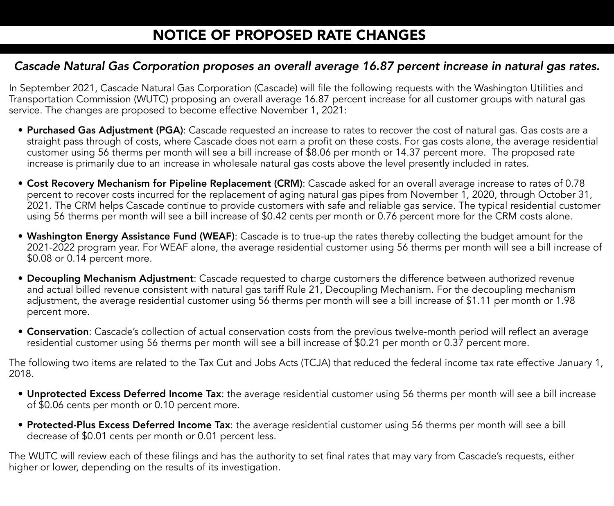## *Cascade Natural Gas Corporation proposes an overall average 16.87 percent increase in natural gas rates.*

In September 2021, Cascade Natural Gas Corporation (Cascade) will file the following requests with the Washington Utilities and Transportation Commission (WUTC) proposing an overall average 16.87 percent increase for all customer groups with natural gas service. The changes are proposed to become effective November 1, 2021:

- Purchased Gas Adjustment (PGA): Cascade requested an increase to rates to recover the cost of natural gas. Gas costs are a straight pass through of costs, where Cascade does not earn a profit on these costs. For gas costs alone, the average residential customer using 56 therms per month will see a bill increase of \$8.06 per month or 14.37 percent more. The proposed rate increase is primarily due to an increase in wholesale natural gas costs above the level presently included in rates.
- Cost Recovery Mechanism for Pipeline Replacement (CRM): Cascade asked for an overall average increase to rates of 0.78 percent to recover costs incurred for the replacement of aging natural gas pipes from November 1, 2020, through October 31, 2021. The CRM helps Cascade continue to provide customers with safe and reliable gas service. The typical residential customer using 56 therms per month will see a bill increase of \$0.42 cents per month or 0.76 percent more for the CRM costs alone.
- Washington Energy Assistance Fund (WEAF): Cascade is to true-up the rates thereby collecting the budget amount for the 2021-2022 program year. For WEAF alone, the average residential customer using 56 therms per month will see a bill increase of \$0.08 or 0.14 percent more.
- Decoupling Mechanism Adjustment: Cascade requested to charge customers the difference between authorized revenue and actual billed revenue consistent with natural gas tariff Rule 21, Decoupling Mechanism. For the decoupling mechanism adjustment, the average residential customer using 56 therms per month will see a bill increase of \$1.11 per month or 1.98 percent more.
- Conservation: Cascade's collection of actual conservation costs from the previous twelve-month period will reflect an average residential customer using 56 therms per month will see a bill increase of \$0.21 per month or 0.37 percent more.

The following two items are related to the Tax Cut and Jobs Acts (TCJA) that reduced the federal income tax rate effective January 1, 2018.

- Unprotected Excess Deferred Income Tax: the average residential customer using 56 therms per month will see a bill increase of \$0.06 cents per month or 0.10 percent more.
- Protected-Plus Excess Deferred Income Tax: the average residential customer using 56 therms per month will see a bill decrease of \$0.01 cents per month or 0.01 percent less.

The WUTC will review each of these filings and has the authority to set final rates that may vary from Cascade's requests, either higher or lower, depending on the results of its investigation.